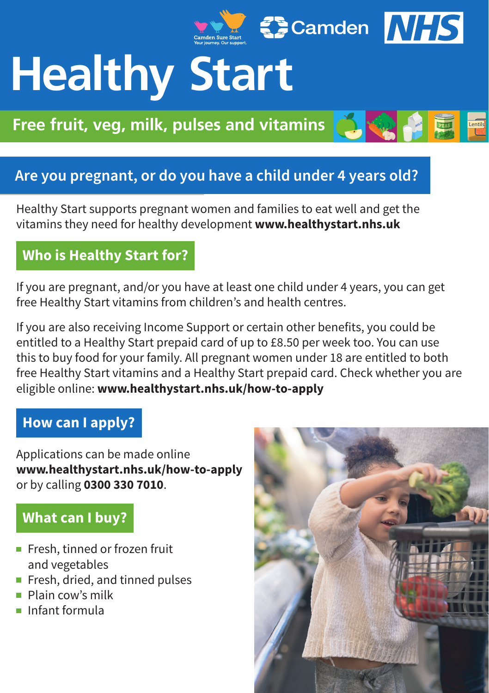# Secamden NHS **Healthy Start**

**Free fruit, yeg, milk, pulses and vitamins** 

# **Are you pregnant, or do you have a child under 4 years old?**

Healthy Start supports pregnant women and families to eat well and get the vitamins they need for healthy development **www.healthystart.nhs.uk**

## **Who is Healthy Start for?**

If you are pregnant, and/or you have at least one child under 4 years, you can get free Healthy Start vitamins from children's and health centres.

If you are also receiving Income Support or certain other benefits, you could be entitled to a Healthy Start prepaid card of up to £8.50 per week too. You can use this to buy food for your family. All pregnant women under 18 are entitled to both free Healthy Start vitamins and a Healthy Start prepaid card. Check whether you are eligible online: **www.healthystart.nhs.uk/how-to-apply**

#### **How can I apply?**

Applications can be made online **www.healthystart.nhs.uk/how-to-apply** or by calling **0300 330 7010**.

#### **What can I buy?**

- Fresh, tinned or frozen fruit and vegetables
- Fresh, dried, and tinned pulses
- Plain cow's milk
- Infant formula